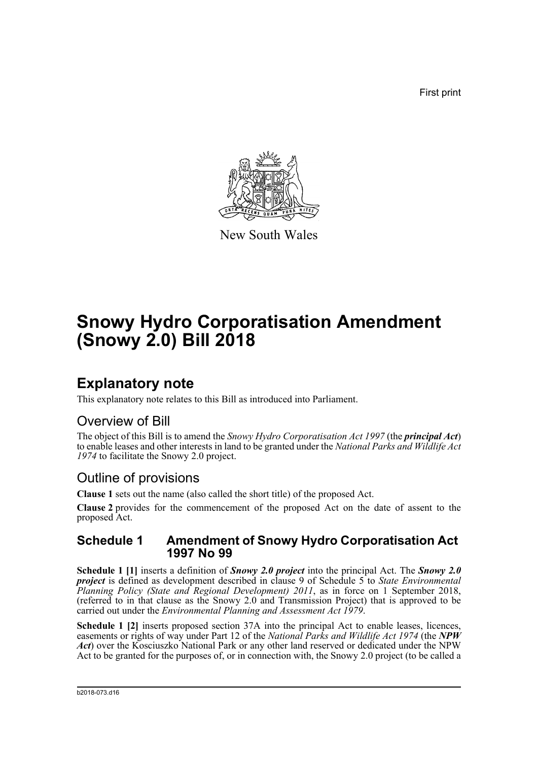First print



New South Wales

# **Snowy Hydro Corporatisation Amendment (Snowy 2.0) Bill 2018**

## **Explanatory note**

This explanatory note relates to this Bill as introduced into Parliament.

## Overview of Bill

The object of this Bill is to amend the *Snowy Hydro Corporatisation Act 1997* (the *principal Act*) to enable leases and other interests in land to be granted under the *National Parks and Wildlife Act 1974* to facilitate the Snowy 2.0 project.

## Outline of provisions

**Clause 1** sets out the name (also called the short title) of the proposed Act.

**Clause 2** provides for the commencement of the proposed Act on the date of assent to the proposed Act.

### **Schedule 1 Amendment of Snowy Hydro Corporatisation Act 1997 No 99**

**Schedule 1 [1]** inserts a definition of *Snowy 2.0 project* into the principal Act. The *Snowy 2.0 project* is defined as development described in clause 9 of Schedule 5 to *State Environmental Planning Policy (State and Regional Development) 2011*, as in force on 1 September 2018, (referred to in that clause as the Snowy 2.0 and Transmission Project) that is approved to be carried out under the *Environmental Planning and Assessment Act 1979*.

**Schedule 1 [2]** inserts proposed section 37A into the principal Act to enable leases, licences, easements or rights of way under Part 12 of the *National Parks and Wildlife Act 1974* (the *NPW Act*) over the Kosciuszko National Park or any other land reserved or dedicated under the NPW Act to be granted for the purposes of, or in connection with, the Snowy 2.0 project (to be called a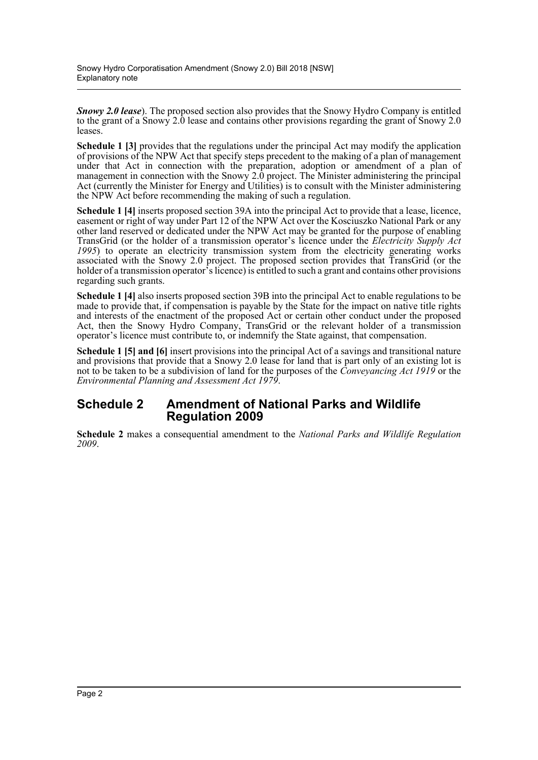*Snowy 2.0 lease*). The proposed section also provides that the Snowy Hydro Company is entitled to the grant of a Snowy 2.0 lease and contains other provisions regarding the grant of Snowy 2.0 leases.

**Schedule 1 [3]** provides that the regulations under the principal Act may modify the application of provisions of the NPW Act that specify steps precedent to the making of a plan of management under that Act in connection with the preparation, adoption or amendment of a plan of management in connection with the Snowy 2.0 project. The Minister administering the principal Act (currently the Minister for Energy and Utilities) is to consult with the Minister administering the NPW Act before recommending the making of such a regulation.

**Schedule 1 [4]** inserts proposed section 39A into the principal Act to provide that a lease, licence, easement or right of way under Part 12 of the NPW Act over the Kosciuszko National Park or any other land reserved or dedicated under the NPW Act may be granted for the purpose of enabling TransGrid (or the holder of a transmission operator's licence under the *Electricity Supply Act 1995*) to operate an electricity transmission system from the electricity generating works associated with the Snowy 2.0 project. The proposed section provides that TransGrid (or the holder of a transmission operator's licence) is entitled to such a grant and contains other provisions regarding such grants.

**Schedule 1 [4]** also inserts proposed section 39B into the principal Act to enable regulations to be made to provide that, if compensation is payable by the State for the impact on native title rights and interests of the enactment of the proposed Act or certain other conduct under the proposed Act, then the Snowy Hydro Company, TransGrid or the relevant holder of a transmission operator's licence must contribute to, or indemnify the State against, that compensation.

**Schedule 1 [5] and [6]** insert provisions into the principal Act of a savings and transitional nature and provisions that provide that a Snowy 2.0 lease for land that is part only of an existing lot is not to be taken to be a subdivision of land for the purposes of the *Conveyancing Act 1919* or the *Environmental Planning and Assessment Act 1979*.

### **Schedule 2 Amendment of National Parks and Wildlife Regulation 2009**

**Schedule 2** makes a consequential amendment to the *National Parks and Wildlife Regulation 2009*.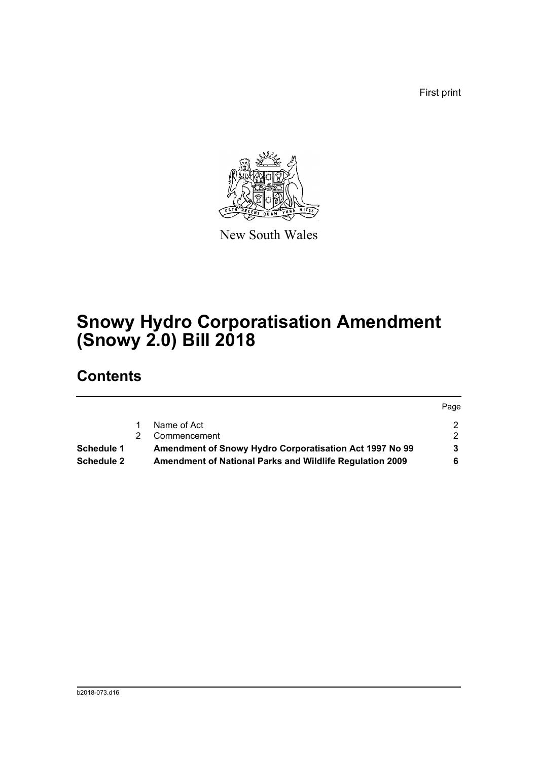First print



New South Wales

# **Snowy Hydro Corporatisation Amendment (Snowy 2.0) Bill 2018**

## **Contents**

|                   |                                                          | Page          |
|-------------------|----------------------------------------------------------|---------------|
|                   | Name of Act                                              |               |
|                   | Commencement                                             | $\mathcal{P}$ |
| <b>Schedule 1</b> | Amendment of Snowy Hydro Corporatisation Act 1997 No 99  |               |
| <b>Schedule 2</b> | Amendment of National Parks and Wildlife Regulation 2009 |               |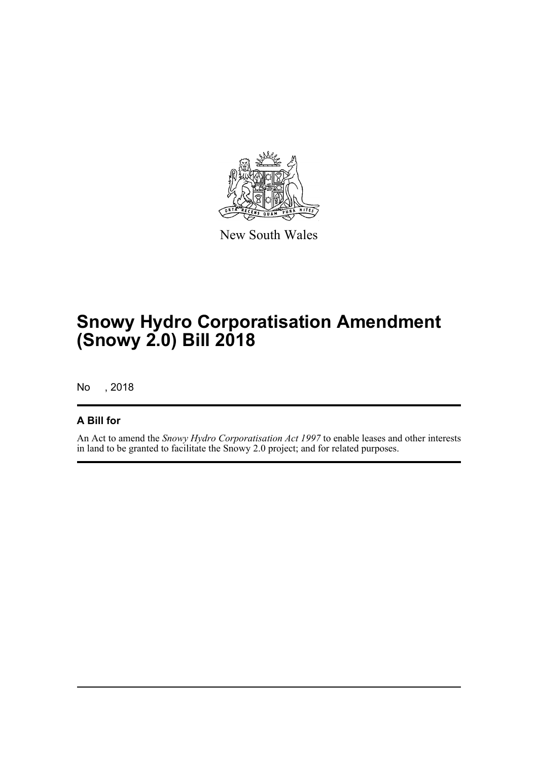

New South Wales

## **Snowy Hydro Corporatisation Amendment (Snowy 2.0) Bill 2018**

No , 2018

### **A Bill for**

An Act to amend the *Snowy Hydro Corporatisation Act 1997* to enable leases and other interests in land to be granted to facilitate the Snowy 2.0 project; and for related purposes.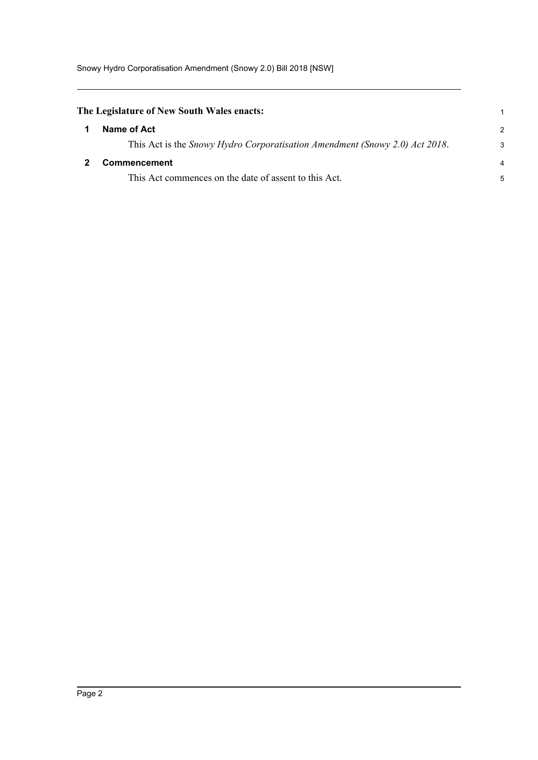<span id="page-4-1"></span><span id="page-4-0"></span>

| The Legislature of New South Wales enacts: |                                                                             |                |
|--------------------------------------------|-----------------------------------------------------------------------------|----------------|
|                                            | Name of Act                                                                 | $\mathcal{P}$  |
|                                            | This Act is the Snowy Hydro Corporatisation Amendment (Snowy 2.0) Act 2018. | 3              |
|                                            | Commencement                                                                | $\overline{4}$ |
|                                            | This Act commences on the date of assent to this Act.                       | 5              |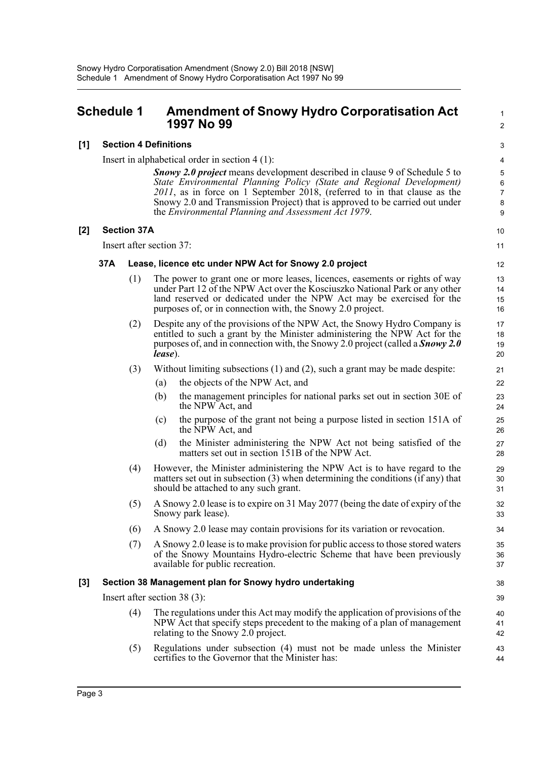### <span id="page-5-0"></span>**Schedule 1 Amendment of Snowy Hydro Corporatisation Act 1997 No 99**

#### **[1] Section 4 Definitions**

Insert in alphabetical order in section 4 (1):

*Snowy 2.0 project* means development described in clause 9 of Schedule 5 to *State Environmental Planning Policy (State and Regional Development) 2011*, as in force on 1 September 2018, (referred to in that clause as the Snowy 2.0 and Transmission Project) that is approved to be carried out under the *Environmental Planning and Assessment Act 1979*.

1  $\overline{2}$ 

#### **[2] Section 37A**

Insert after section 37:

#### **37A Lease, licence etc under NPW Act for Snowy 2.0 project**

- (1) The power to grant one or more leases, licences, easements or rights of way under Part 12 of the NPW Act over the Kosciuszko National Park or any other land reserved or dedicated under the NPW Act may be exercised for the purposes of, or in connection with, the Snowy 2.0 project.
- (2) Despite any of the provisions of the NPW Act, the Snowy Hydro Company is entitled to such a grant by the Minister administering the NPW Act for the purposes of, and in connection with, the Snowy 2.0 project (called a *Snowy 2.0 lease*).
- (3) Without limiting subsections (1) and (2), such a grant may be made despite:
	- (a) the objects of the NPW Act, and
	- (b) the management principles for national parks set out in section 30E of the NPW Act, and
	- (c) the purpose of the grant not being a purpose listed in section 151A of the NPW Act, and
	- (d) the Minister administering the NPW Act not being satisfied of the matters set out in section 151B of the NPW Act.
- (4) However, the Minister administering the NPW Act is to have regard to the matters set out in subsection (3) when determining the conditions (if any) that should be attached to any such grant.
- (5) A Snowy 2.0 lease is to expire on 31 May 2077 (being the date of expiry of the Snowy park lease).
- (6) A Snowy 2.0 lease may contain provisions for its variation or revocation.
- (7) A Snowy 2.0 lease is to make provision for public access to those stored waters of the Snowy Mountains Hydro-electric Scheme that have been previously available for public recreation.

#### **[3] Section 38 Management plan for Snowy hydro undertaking**

Insert after section 38 (3):

- (4) The regulations under this Act may modify the application of provisions of the NPW Act that specify steps precedent to the making of a plan of management relating to the Snowy 2.0 project.
- (5) Regulations under subsection (4) must not be made unless the Minister certifies to the Governor that the Minister has: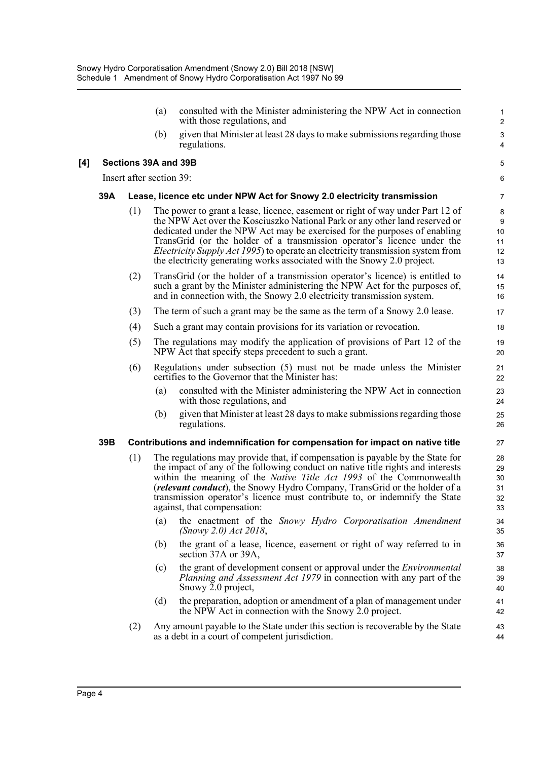|     |     |                          | (a)                                                                     | consulted with the Minister administering the NPW Act in connection<br>with those regulations, and                                                                                                                                                                                                                                                                                                                                                                                  | $\mathbf{1}$<br>$\overline{2}$   |
|-----|-----|--------------------------|-------------------------------------------------------------------------|-------------------------------------------------------------------------------------------------------------------------------------------------------------------------------------------------------------------------------------------------------------------------------------------------------------------------------------------------------------------------------------------------------------------------------------------------------------------------------------|----------------------------------|
|     |     |                          | (b)                                                                     | given that Minister at least 28 days to make submissions regarding those<br>regulations.                                                                                                                                                                                                                                                                                                                                                                                            | $\mathsf 3$<br>$\overline{4}$    |
| [4] |     | Sections 39A and 39B     |                                                                         |                                                                                                                                                                                                                                                                                                                                                                                                                                                                                     | 5                                |
|     |     | Insert after section 39: |                                                                         |                                                                                                                                                                                                                                                                                                                                                                                                                                                                                     | 6                                |
|     | 39A |                          | Lease, licence etc under NPW Act for Snowy 2.0 electricity transmission |                                                                                                                                                                                                                                                                                                                                                                                                                                                                                     |                                  |
|     |     | (1)                      |                                                                         | The power to grant a lease, licence, easement or right of way under Part 12 of<br>the NPW Act over the Kosciuszko National Park or any other land reserved or<br>dedicated under the NPW Act may be exercised for the purposes of enabling<br>TransGrid (or the holder of a transmission operator's licence under the<br>Electricity Supply Act 1995) to operate an electricity transmission system from<br>the electricity generating works associated with the Snowy 2.0 project. | 8<br>9<br>10<br>11<br>12<br>13   |
|     |     | (2)                      |                                                                         | TransGrid (or the holder of a transmission operator's licence) is entitled to<br>such a grant by the Minister administering the NPW Act for the purposes of,<br>and in connection with, the Snowy 2.0 electricity transmission system.                                                                                                                                                                                                                                              | 14<br>15<br>16                   |
|     |     | (3)                      |                                                                         | The term of such a grant may be the same as the term of a Snowy 2.0 lease.                                                                                                                                                                                                                                                                                                                                                                                                          | 17                               |
|     |     | (4)                      |                                                                         | Such a grant may contain provisions for its variation or revocation.                                                                                                                                                                                                                                                                                                                                                                                                                | 18                               |
|     |     | (5)                      |                                                                         | The regulations may modify the application of provisions of Part 12 of the<br>NPW Act that specify steps precedent to such a grant.                                                                                                                                                                                                                                                                                                                                                 | 19<br>20                         |
|     |     | (6)                      |                                                                         | Regulations under subsection (5) must not be made unless the Minister<br>certifies to the Governor that the Minister has:                                                                                                                                                                                                                                                                                                                                                           | 21<br>22                         |
|     |     |                          | (a)                                                                     | consulted with the Minister administering the NPW Act in connection<br>with those regulations, and                                                                                                                                                                                                                                                                                                                                                                                  | 23<br>24                         |
|     |     |                          | (b)                                                                     | given that Minister at least 28 days to make submissions regarding those<br>regulations.                                                                                                                                                                                                                                                                                                                                                                                            | 25<br>26                         |
|     | 39B |                          |                                                                         | Contributions and indemnification for compensation for impact on native title                                                                                                                                                                                                                                                                                                                                                                                                       | 27                               |
|     |     | (1)                      |                                                                         | The regulations may provide that, if compensation is payable by the State for<br>the impact of any of the following conduct on native title rights and interests<br>within the meaning of the <i>Native Title Act 1993</i> of the Commonwealth<br>(relevant conduct), the Snowy Hydro Company, TransGrid or the holder of a<br>transmission operator's licence must contribute to, or indemnify the State<br>against, that compensation:                                            | 28<br>29<br>30<br>31<br>32<br>33 |
|     |     |                          | (a)                                                                     | the enactment of the Snowy Hydro Corporatisation Amendment<br>$(Snowy 2.0)$ Act 2018,                                                                                                                                                                                                                                                                                                                                                                                               | 34<br>35                         |
|     |     |                          | (b)                                                                     | the grant of a lease, licence, easement or right of way referred to in<br>section 37A or 39A,                                                                                                                                                                                                                                                                                                                                                                                       | 36<br>37                         |
|     |     |                          | (c)                                                                     | the grant of development consent or approval under the <i>Environmental</i><br><i>Planning and Assessment Act 1979</i> in connection with any part of the<br>Snowy 2.0 project,                                                                                                                                                                                                                                                                                                     | 38<br>39<br>40                   |
|     |     |                          | (d)                                                                     | the preparation, adoption or amendment of a plan of management under<br>the NPW Act in connection with the Snowy 2.0 project.                                                                                                                                                                                                                                                                                                                                                       | 41<br>42                         |
|     |     | (2)                      |                                                                         | Any amount payable to the State under this section is recoverable by the State<br>as a debt in a court of competent jurisdiction.                                                                                                                                                                                                                                                                                                                                                   | 43<br>44                         |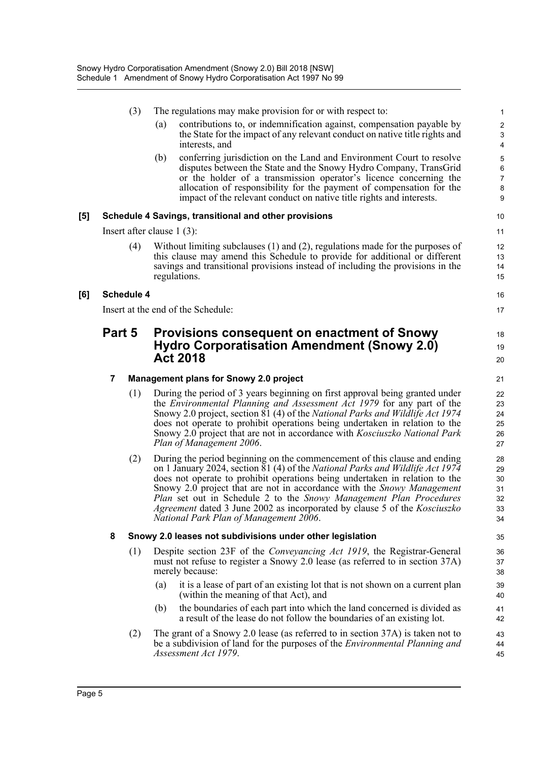| (3) |  |  | The regulations may make provision for or with respect to: |
|-----|--|--|------------------------------------------------------------|
|-----|--|--|------------------------------------------------------------|

(a) contributions to, or indemnification against, compensation payable by the State for the impact of any relevant conduct on native title rights and interests, and

16 17

18 19 20

(b) conferring jurisdiction on the Land and Environment Court to resolve disputes between the State and the Snowy Hydro Company, TransGrid or the holder of a transmission operator's licence concerning the allocation of responsibility for the payment of compensation for the impact of the relevant conduct on native title rights and interests.

#### **[5] Schedule 4 Savings, transitional and other provisions**

Insert after clause 1 (3):

(4) Without limiting subclauses (1) and (2), regulations made for the purposes of this clause may amend this Schedule to provide for additional or different savings and transitional provisions instead of including the provisions in the regulations.

#### **[6] Schedule 4**

Insert at the end of the Schedule:

### **Part 5 Provisions consequent on enactment of Snowy Hydro Corporatisation Amendment (Snowy 2.0) Act 2018**

#### **7 Management plans for Snowy 2.0 project**

- (1) During the period of 3 years beginning on first approval being granted under the *Environmental Planning and Assessment Act 1979* for any part of the Snowy 2.0 project, section 81 (4) of the *National Parks and Wildlife Act 1974* does not operate to prohibit operations being undertaken in relation to the Snowy 2.0 project that are not in accordance with *Kosciuszko National Park Plan of Management 2006*.
- (2) During the period beginning on the commencement of this clause and ending on 1 January 2024, section 81 (4) of the *National Parks and Wildlife Act 1974* does not operate to prohibit operations being undertaken in relation to the Snowy 2.0 project that are not in accordance with the *Snowy Management Plan* set out in Schedule 2 to the *Snowy Management Plan Procedures Agreement* dated 3 June 2002 as incorporated by clause 5 of the *Kosciuszko National Park Plan of Management 2006*.

#### **8 Snowy 2.0 leases not subdivisions under other legislation**

- (1) Despite section 23F of the *Conveyancing Act 1919*, the Registrar-General must not refuse to register a Snowy 2.0 lease (as referred to in section 37A) merely because:
	- (a) it is a lease of part of an existing lot that is not shown on a current plan (within the meaning of that Act), and
	- (b) the boundaries of each part into which the land concerned is divided as a result of the lease do not follow the boundaries of an existing lot.
- (2) The grant of a Snowy 2.0 lease (as referred to in section 37A) is taken not to be a subdivision of land for the purposes of the *Environmental Planning and Assessment Act 1979*.